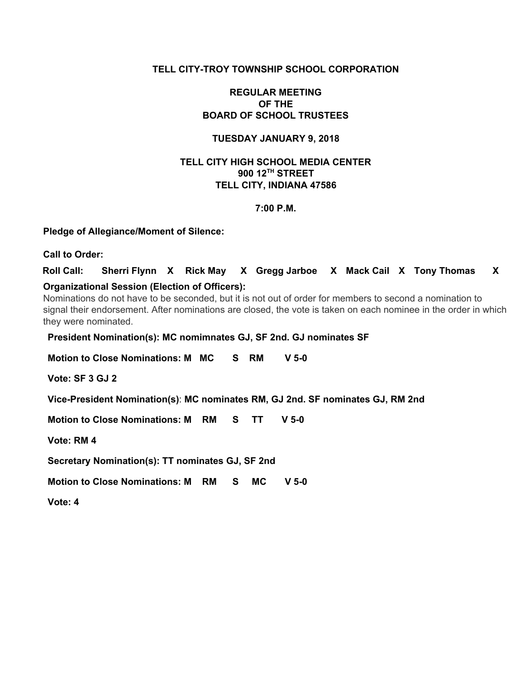## **TELL CITY-TROY TOWNSHIP SCHOOL CORPORATION**

## **REGULAR MEETING OF THE BOARD OF SCHOOL TRUSTEES**

## **TUESDAY JANUARY 9, 2018**

## **TELL CITY HIGH SCHOOL MEDIA CENTER 900 12 TH STREET TELL CITY, INDIANA 47586**

## **7:00 P.M.**

## **Pledge of Allegiance/Moment of Silence:**

**Call to Order:**

**Roll Call: Sherri Flynn X Rick May X Gregg Jarboe X Mack Cail X Tony Thomas X Organizational Session (Election of Officers):**

Nominations do not have to be seconded, but it is not out of order for members to second a nomination to signal their endorsement. After nominations are closed, the vote is taken on each nominee in the order in which they were nominated.

**President Nomination(s): MC nomimnates GJ, SF 2nd. GJ nominates SF**

**Motion to Close Nominations: M MC S RM V 5-0**

**Vote: SF 3 GJ 2**

**Vice-President Nomination(s)**: **MC nominates RM, GJ 2nd. SF nominates GJ, RM 2nd**

**Motion to Close Nominations: M RM S TT V 5-0**

**Vote: RM 4**

**Secretary Nomination(s): TT nominates GJ, SF 2nd**

**Motion to Close Nominations: M RM S MC V 5-0**

**Vote: 4**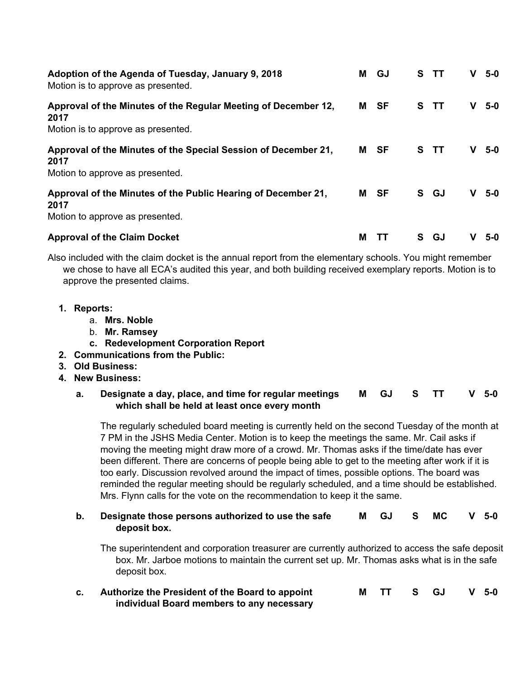| Adoption of the Agenda of Tuesday, January 9, 2018<br>Motion is to approve as presented.                     | м | GJ   |    | S TT | V | $5-0$ |
|--------------------------------------------------------------------------------------------------------------|---|------|----|------|---|-------|
| Approval of the Minutes of the Regular Meeting of December 12,<br>2017<br>Motion is to approve as presented. |   | M SF |    | S TT |   | $5-0$ |
| Approval of the Minutes of the Special Session of December 21,<br>2017<br>Motion to approve as presented.    |   | M SF |    | S TT | v | 5-0   |
| Approval of the Minutes of the Public Hearing of December 21,<br>2017<br>Motion to approve as presented.     |   | M SF |    | S GJ | v | $5-0$ |
| <b>Approval of the Claim Docket</b>                                                                          | М |      | S. | GJ   |   | 5-0   |

Also included with the claim docket is the annual report from the elementary schools. You might remember we chose to have all ECA's audited this year, and both building received exemplary reports. Motion is to approve the presented claims.

- **1. Reports:**
	- a. **Mrs. Noble**
	- b. **Mr. Ramsey**
	- **c. Redevelopment Corporation Report**
- **2. Communications from the Public:**
- **3. Old Business:**
- **4. New Business:**

**a. Designate a day, place, and time for regular meetings which shall be held at least once every month M GJ S TT V 5-0**

The regularly scheduled board meeting is currently held on the second Tuesday of the month at 7 PM in the JSHS Media Center. Motion is to keep the meetings the same. Mr. Cail asks if moving the meeting might draw more of a crowd. Mr. Thomas asks if the time/date has ever been different. There are concerns of people being able to get to the meeting after work if it is too early. Discussion revolved around the impact of times, possible options. The board was reminded the regular meeting should be regularly scheduled, and a time should be established. Mrs. Flynn calls for the vote on the recommendation to keep it the same.

### **b. Designate those persons authorized to use the safe deposit box. M GJ S MC V 5-0**

The superintendent and corporation treasurer are currently authorized to access the safe deposit box. Mr. Jarboe motions to maintain the current set up. Mr. Thomas asks what is in the safe deposit box.

**c. Authorize the President of the Board to appoint individual Board members to any necessary M TT S GJ V 5-0**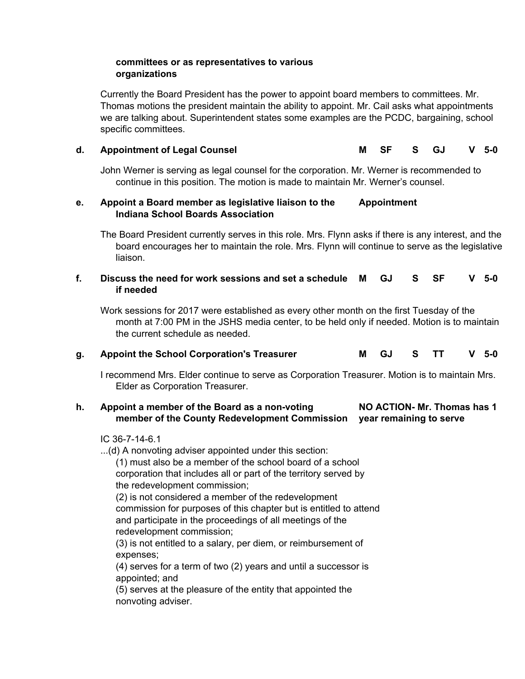## **committees or as representatives to various organizations**

Currently the Board President has the power to appoint board members to committees. Mr. Thomas motions the president maintain the ability to appoint. Mr. Cail asks what appointments we are talking about. Superintendent states some examples are the PCDC, bargaining, school specific committees.

# **d. Appointment of Legal Counsel M SF S GJ V 5-0**

John Werner is serving as legal counsel for the corporation. Mr. Werner is recommended to continue in this position. The motion is made to maintain Mr. Werner's counsel.

#### **e. Appoint a Board member as legislative liaison to the Indiana School Boards Association Appointment**

The Board President currently serves in this role. Mrs. Flynn asks if there is any interest, and the board encourages her to maintain the role. Mrs. Flynn will continue to serve as the legislative liaison.

#### **f. Discuss the need for work sessions and set a schedule if needed M GJ S SF V 5-0**

Work sessions for 2017 were established as every other month on the first Tuesday of the month at 7:00 PM in the JSHS media center, to be held only if needed. Motion is to maintain the current schedule as needed.

## **g. Appoint the School Corporation's Treasurer M GJ S TT V 5-0**

I recommend Mrs. Elder continue to serve as Corporation Treasurer. Motion is to maintain Mrs. Elder as Corporation Treasurer.

#### **h. Appoint a member of the Board as a non-voting member of the County Redevelopment Commission year remaining to serve NO ACTION- Mr. Thomas has 1**

## IC 36-7-14-6.1

...(d) A nonvoting adviser appointed under this section: (1) must also be a member of the school board of a school

corporation that includes all or part of the territory served by the redevelopment commission;

(2) is not considered a member of the redevelopment commission for purposes of this chapter but is entitled to attend and participate in the proceedings of all meetings of the redevelopment commission;

(3) is not entitled to a salary, per diem, or reimbursement of expenses;

(4) serves for a term of two (2) years and until a successor is appointed; and

(5) serves at the pleasure of the entity that appointed the nonvoting adviser.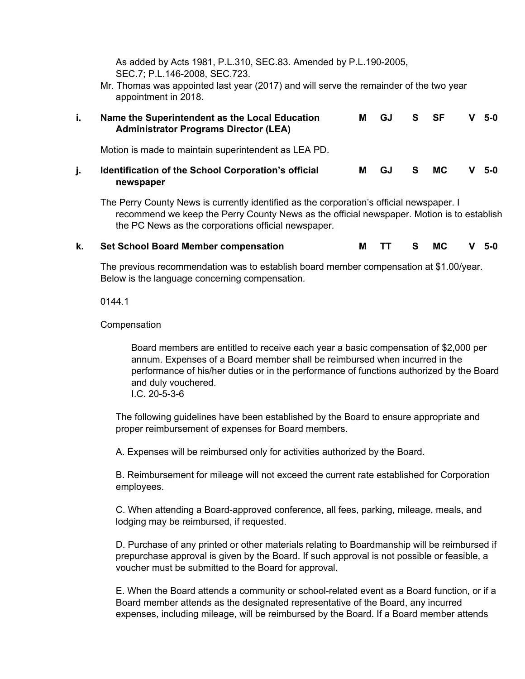As added by Acts 1981, P.L.310, SEC.83. Amended by P.L.190-2005, SEC.7; P.L.146-2008, SEC.723.

Mr. Thomas was appointed last year (2017) and will serve the remainder of the two year appointment in 2018.

| L. | Name the Superintendent as the Local Education<br>м<br><b>Administrator Programs Director (LEA)</b> |   | GJ | S. | <b>SF</b> | - 5-0 |
|----|-----------------------------------------------------------------------------------------------------|---|----|----|-----------|-------|
|    | Motion is made to maintain superintendent as LEA PD.                                                |   |    |    |           |       |
|    | <b>Identification of the School Corporation's official</b><br>newspaper                             | м | GJ | S. | MC.       | 5-0   |

The Perry County News is currently identified as the corporation's official newspaper. I recommend we keep the Perry County News as the official newspaper. Motion is to establish the PC News as the corporations official newspaper.

## **k. Set School Board Member compensation M TT S MC V 5-0**

The previous recommendation was to establish board member compensation at \$1.00/year. Below is the language concerning compensation.

0144.1

Compensation

Board members are entitled to receive each year a basic compensation of \$2,000 per annum. Expenses of a Board member shall be reimbursed when incurred in the performance of his/her duties or in the performance of functions authorized by the Board and duly vouchered. I.C. 20-5-3-6

The following guidelines have been established by the Board to ensure appropriate and proper reimbursement of expenses for Board members.

A. Expenses will be reimbursed only for activities authorized by the Board.

B. Reimbursement for mileage will not exceed the current rate established for Corporation employees.

C. When attending a Board-approved conference, all fees, parking, mileage, meals, and lodging may be reimbursed, if requested.

D. Purchase of any printed or other materials relating to Boardmanship will be reimbursed if prepurchase approval is given by the Board. If such approval is not possible or feasible, a voucher must be submitted to the Board for approval.

E. When the Board attends a community or school-related event as a Board function, or if a Board member attends as the designated representative of the Board, any incurred expenses, including mileage, will be reimbursed by the Board. If a Board member attends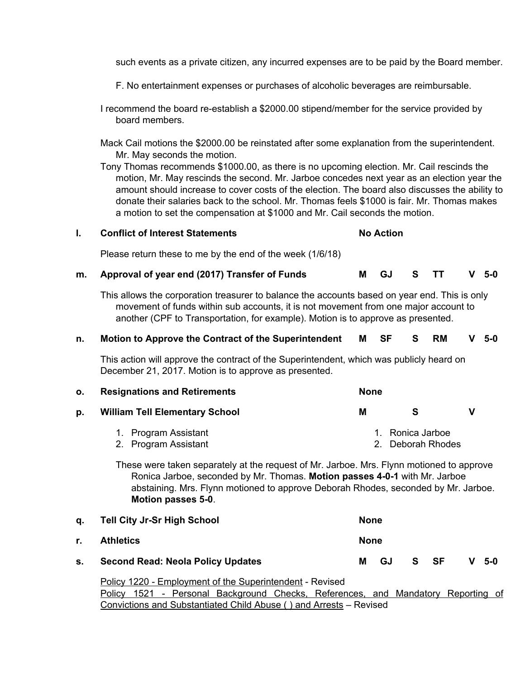such events as a private citizen, any incurred expenses are to be paid by the Board member.

F. No entertainment expenses or purchases of alcoholic beverages are reimbursable.

I recommend the board re-establish a \$2000.00 stipend/member for the service provided by board members.

Mack Cail motions the \$2000.00 be reinstated after some explanation from the superintendent. Mr. May seconds the motion.

Tony Thomas recommends \$1000.00, as there is no upcoming election. Mr. Cail rescinds the motion, Mr. May rescinds the second. Mr. Jarboe concedes next year as an election year the amount should increase to cover costs of the election. The board also discusses the ability to donate their salaries back to the school. Mr. Thomas feels \$1000 is fair. Mr. Thomas makes a motion to set the compensation at \$1000 and Mr. Cail seconds the motion.

| <b>Conflict of Interest Statements</b> | <b>No Action</b> |
|----------------------------------------|------------------|
|                                        |                  |

Please return these to me by the end of the week (1/6/18)

## **m. Approval of year end (2017) Transfer of Funds M GJ S TT V 5-0**

This allows the corporation treasurer to balance the accounts based on year end. This is only movement of funds within sub accounts, it is not movement from one major account to another (CPF to Transportation, for example). Motion is to approve as presented.

## **n. Motion to Approve the Contract of the Superintendent M SF S RM V 5-0**

This action will approve the contract of the Superintendent, which was publicly heard on December 21, 2017. Motion is to approve as presented.

| <b>Resignations and Retirements</b><br>О. |                                              |   | <b>None</b>                           |  |  |  |  |  |  |
|-------------------------------------------|----------------------------------------------|---|---------------------------------------|--|--|--|--|--|--|
| D.                                        | <b>William Tell Elementary School</b>        | м | s                                     |  |  |  |  |  |  |
|                                           | 1. Program Assistant<br>2. Program Assistant |   | 1. Ronica Jarboe<br>2. Deborah Rhodes |  |  |  |  |  |  |

These were taken separately at the request of Mr. Jarboe. Mrs. Flynn motioned to approve Ronica Jarboe, seconded by Mr. Thomas. **Motion passes 4-0-1** with Mr. Jarboe abstaining. Mrs. Flynn motioned to approve Deborah Rhodes, seconded by Mr. Jarboe. **Motion passes 5-0**.

|    | q. Tell City Jr-Sr High School           | <b>None</b> |     |      |  |         |
|----|------------------------------------------|-------------|-----|------|--|---------|
| r. | <b>Athletics</b>                         | <b>None</b> |     |      |  |         |
| s. | <b>Second Read: Neola Policy Updates</b> | м           | GJ. | S SF |  | $V$ 5-0 |

Policy 1220 - Employment of the Superintendent - Revised Policy 1521 - Personal Background Checks, References, and Mandatory Reporting of Convictions and Substantiated Child Abuse ( ) and Arrests – Revised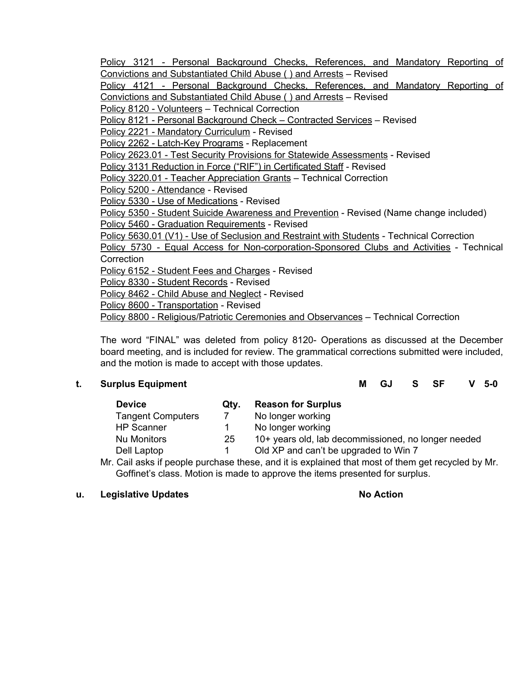Policy 3121 - Personal Background Checks, References, and Mandatory Reporting of Convictions and Substantiated Child Abuse ( ) and Arrests – Revised

Policy 4121 - Personal Background Checks, References, and Mandatory Reporting of Convictions and Substantiated Child Abuse ( ) and Arrests – Revised

Policy 8120 - Volunteers – Technical Correction

Policy 8121 - Personal Background Check – Contracted Services – Revised

Policy 2221 - Mandatory Curriculum - Revised

Policy 2262 - Latch-Key Programs - Replacement

Policy 2623.01 - Test Security Provisions for Statewide Assessments - Revised

Policy 3131 Reduction in Force ("RIF") in Certificated Staff - Revised

Policy 3220.01 - Teacher Appreciation Grants – Technical Correction

Policy 5200 - Attendance - Revised

Policy 5330 - Use of Medications - Revised

Policv 5350 - Student Suicide Awareness and Prevention - Revised (Name change included)

Policy 5460 - Graduation Requirements - Revised

Policy 5630.01 (V1) - Use of Seclusion and Restraint with Students - Technical Correction

Policy 5730 - Equal Access for Non-corporation-Sponsored Clubs and Activities - Technical **Correction** 

Policy 6152 - Student Fees and Charges - Revised

Policy 8330 - Student Records - Revised

Policy 8462 - Child Abuse and Neglect - Revised

Policy 8600 - Transportation - Revised

Policy 8800 - Religious/Patriotic Ceremonies and Observances – Technical Correction

The word "FINAL" was deleted from policy 8120- Operations as discussed at the December board meeting, and is included for review. The grammatical corrections submitted were included, and the motion is made to accept with those updates.

**t. Surplus Equipment M GJ S SF V 5-0**

| <b>Device</b>            | Qtv. | <b>Reason for Surplus</b>                                                                                     |
|--------------------------|------|---------------------------------------------------------------------------------------------------------------|
| <b>Tangent Computers</b> |      | No longer working                                                                                             |
| <b>HP Scanner</b>        |      | No longer working                                                                                             |
| <b>Nu Monitors</b>       | 25   | 10+ years old, lab decommissioned, no longer needed                                                           |
| Dell Laptop              |      | Old XP and can't be upgraded to Win 7                                                                         |
|                          |      | . ∧ett eister transisten anderen i den eine stellt te endetalen die eine eine erfolgenen eine ende die en Mal |

Mr. Cail asks if people purchase these, and it is explained that most of them get recycled by Mr. Goffinet's class. Motion is made to approve the items presented for surplus.

## **u. Legislative Updates No Action**